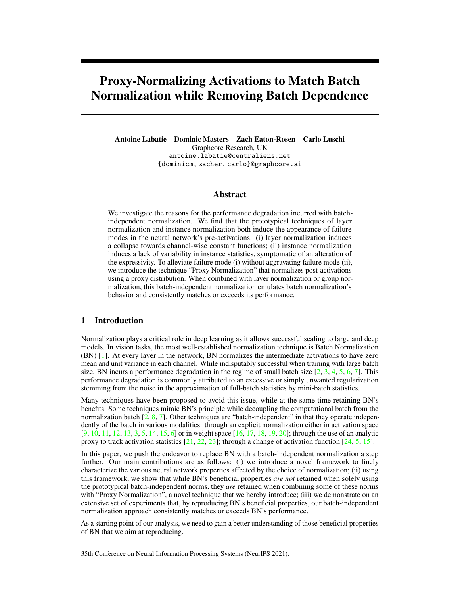# Proxy-Normalizing Activations to Match Batch Normalization while Removing Batch Dependence

Antoine Labatie Dominic Masters Zach Eaton-Rosen Carlo Luschi Graphcore Research, UK antoine.labatie@centraliens.net {dominicm, zacher, carlo}@graphcore.ai

# Abstract

We investigate the reasons for the performance degradation incurred with batchindependent normalization. We find that the prototypical techniques of layer normalization and instance normalization both induce the appearance of failure modes in the neural network's pre-activations: (i) layer normalization induces a collapse towards channel-wise constant functions; (ii) instance normalization induces a lack of variability in instance statistics, symptomatic of an alteration of the expressivity. To alleviate failure mode (i) without aggravating failure mode (ii), we introduce the technique "Proxy Normalization" that normalizes post-activations using a proxy distribution. When combined with layer normalization or group normalization, this batch-independent normalization emulates batch normalization's behavior and consistently matches or exceeds its performance.

# 1 Introduction

Normalization plays a critical role in deep learning as it allows successful scaling to large and deep models. In vision tasks, the most well-established normalization technique is Batch Normalization (BN) [\[1\]](#page-10-0). At every layer in the network, BN normalizes the intermediate activations to have zero mean and unit variance in each channel. While indisputably successful when training with large batch size, BN incurs a performance degradation in the regime of small batch size  $[2, 3, 4, 5, 6, 7]$  $[2, 3, 4, 5, 6, 7]$  $[2, 3, 4, 5, 6, 7]$  $[2, 3, 4, 5, 6, 7]$  $[2, 3, 4, 5, 6, 7]$  $[2, 3, 4, 5, 6, 7]$  $[2, 3, 4, 5, 6, 7]$  $[2, 3, 4, 5, 6, 7]$  $[2, 3, 4, 5, 6, 7]$  $[2, 3, 4, 5, 6, 7]$  $[2, 3, 4, 5, 6, 7]$ . This performance degradation is commonly attributed to an excessive or simply unwanted regularization stemming from the noise in the approximation of full-batch statistics by mini-batch statistics.

Many techniques have been proposed to avoid this issue, while at the same time retaining BN's benefits. Some techniques mimic BN's principle while decoupling the computational batch from the normalization batch  $[2, 8, 7]$  $[2, 8, 7]$  $[2, 8, 7]$  $[2, 8, 7]$  $[2, 8, 7]$ . Other techniques are "batch-independent" in that they operate independently of the batch in various modalities: through an explicit normalization either in activation space [\[9,](#page-10-8) [10,](#page-10-9) [11,](#page-10-10) [12,](#page-10-11) [13,](#page-10-12) [3,](#page-10-2) [5,](#page-10-4) [14,](#page-10-13) [15,](#page-11-0) [6\]](#page-10-5) or in weight space [\[16,](#page-11-1) [17,](#page-11-2) [18,](#page-11-3) [19,](#page-11-4) [20\]](#page-11-5); through the use of an analytic proxy to track activation statistics  $[21, 22, 23]$  $[21, 22, 23]$  $[21, 22, 23]$  $[21, 22, 23]$  $[21, 22, 23]$ ; through a change of activation function  $[24, 5, 15]$  $[24, 5, 15]$  $[24, 5, 15]$  $[24, 5, 15]$  $[24, 5, 15]$ .

In this paper, we push the endeavor to replace BN with a batch-independent normalization a step further. Our main contributions are as follows: (i) we introduce a novel framework to finely characterize the various neural network properties affected by the choice of normalization; (ii) using this framework, we show that while BN's beneficial properties *are not* retained when solely using the prototypical batch-independent norms, they *are* retained when combining some of these norms with "Proxy Normalization", a novel technique that we hereby introduce; (iii) we demonstrate on an extensive set of experiments that, by reproducing BN's beneficial properties, our batch-independent normalization approach consistently matches or exceeds BN's performance.

As a starting point of our analysis, we need to gain a better understanding of those beneficial properties of BN that we aim at reproducing.

35th Conference on Neural Information Processing Systems (NeurIPS 2021).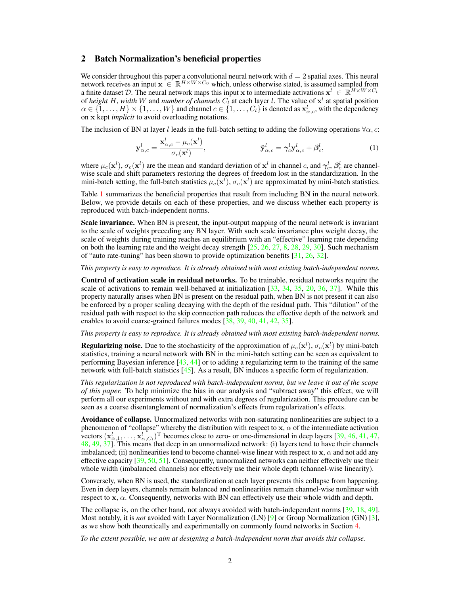#### <span id="page-1-1"></span>2 Batch Normalization's beneficial properties

We consider throughout this paper a convolutional neural network with  $d = 2$  spatial axes. This neural network receives an input  $\mathbf{x} \in \mathbb{R}^{H \times W \times C_0}$  which, unless otherwise stated, is assumed sampled from a finite dataset D. The neural network maps this input x to intermediate activations  $x^l \in \mathbb{R}^{H \times W \times C_l}$ of *height* H, width W and *number of channels*  $C_l$  at each layer *l*. The value of  $x^l$  at spatial position  $\alpha \in \{1, \ldots, H\} \times \{1, \ldots, W\}$  and channel  $c \in \{1, \ldots, C_l\}$  is denoted as  $\mathbf{x}_{\alpha,c}^l$ , with the dependency on x kept *implicit* to avoid overloading notations.

The inclusion of BN at layer l leads in the full-batch setting to adding the following operations  $\forall \alpha$ , c:

<span id="page-1-0"></span>
$$
\mathbf{y}_{\alpha,c}^l = \frac{\mathbf{x}_{\alpha,c}^l - \mu_c(\mathbf{x}^l)}{\sigma_c(\mathbf{x}^l)}, \qquad \tilde{\mathbf{y}}_{\alpha,c}^l = \gamma_c^l \mathbf{y}_{\alpha,c}^l + \beta_c^l, \qquad (1)
$$

where  $\mu_c(\mathbf{x}^l)$ ,  $\sigma_c(\mathbf{x}^l)$  are the mean and standard deviation of  $\mathbf{x}^l$  in channel c, and  $\gamma_c^l$ ,  $\beta_c^l$  are channelwise scale and shift parameters restoring the degrees of freedom lost in the standardization. In the mini-batch setting, the full-batch statistics  $\mu_c(\mathbf{x}^l)$ ,  $\sigma_c(\mathbf{x}^l)$  are approximated by mini-batch statistics.

Table [1](#page-2-0) summarizes the beneficial properties that result from including BN in the neural network. Below, we provide details on each of these properties, and we discuss whether each property is reproduced with batch-independent norms.

Scale invariance. When BN is present, the input-output mapping of the neural network is invariant to the scale of weights preceding any BN layer. With such scale invariance plus weight decay, the scale of weights during training reaches an equilibrium with an "effective" learning rate depending on both the learning rate and the weight decay strength [\[25,](#page-11-10) [26,](#page-11-11) [27,](#page-11-12) [8,](#page-10-7) [28,](#page-11-13) [29,](#page-11-14) [30\]](#page-11-15). Such mechanism of "auto rate-tuning" has been shown to provide optimization benefits [\[31,](#page-11-16) [26,](#page-11-11) [32\]](#page-12-0).

*This property is easy to reproduce. It is already obtained with most existing batch-independent norms.*

Control of activation scale in residual networks. To be trainable, residual networks require the scale of activations to remain well-behaved at initialization [\[33,](#page-12-1) [34,](#page-12-2) [35,](#page-12-3) [20,](#page-11-5) [36,](#page-12-4) [37\]](#page-12-5). While this property naturally arises when BN is present on the residual path, when BN is not present it can also be enforced by a proper scaling decaying with the depth of the residual path. This "dilution" of the residual path with respect to the skip connection path reduces the effective depth of the network and enables to avoid coarse-grained failures modes [\[38,](#page-12-6) [39,](#page-12-7) [40,](#page-12-8) [41,](#page-12-9) [42,](#page-12-10) [35\]](#page-12-3).

*This property is easy to reproduce. It is already obtained with most existing batch-independent norms.*

**Regularizing noise.** Due to the stochasticity of the approximation of  $\mu_c(\mathbf{x}^l)$ ,  $\sigma_c(\mathbf{x}^l)$  by mini-batch statistics, training a neural network with BN in the mini-batch setting can be seen as equivalent to performing Bayesian inference [\[43,](#page-12-11) [44\]](#page-12-12) or to adding a regularizing term to the training of the same network with full-batch statistics [\[45\]](#page-12-13). As a result, BN induces a specific form of regularization.

*This regularization is not reproduced with batch-independent norms, but we leave it out of the scope of this paper.* To help minimize the bias in our analysis and "subtract away" this effect, we will perform all our experiments without and with extra degrees of regularization. This procedure can be seen as a coarse disentanglement of normalization's effects from regularization's effects.

Avoidance of collapse. Unnormalized networks with non-saturating nonlinearities are subject to a phenomenon of "collapse" whereby the distribution with respect to  $x, \alpha$  of the intermediate activation vectors  $(\mathbf{x}_{\alpha,1}^l, \ldots, \mathbf{x}_{\alpha,C_l}^l)^T$  becomes close to zero- or one-dimensional in deep layers [\[39,](#page-12-7) [46,](#page-12-14) [41,](#page-12-9) [47,](#page-13-0) [48,](#page-13-1) [49,](#page-13-2) [37\]](#page-12-5). This means that deep in an unnormalized network: (i) layers tend to have their channels imbalanced; (ii) nonlinearities tend to become channel-wise linear with respect to x,  $\alpha$  and not add any effective capacity [\[39,](#page-12-7) [50,](#page-13-3) [51\]](#page-13-4). Consequently, unnormalized networks can neither effectively use their whole width (imbalanced channels) nor effectively use their whole depth (channel-wise linearity).

Conversely, when BN is used, the standardization at each layer prevents this collapse from happening. Even in deep layers, channels remain balanced and nonlinearities remain channel-wise nonlinear with respect to  $x, \alpha$ . Consequently, networks with BN can effectively use their whole width and depth.

The collapse is, on the other hand, not always avoided with batch-independent norms [\[39,](#page-12-7) [18,](#page-11-3) [49\]](#page-13-2). Most notably, it is *not* avoided with Layer Normalization (LN) [\[9\]](#page-10-8) or Group Normalization (GN) [\[3\]](#page-10-2), as we show both theoretically and experimentally on commonly found networks in Section [4.](#page-4-0)

*To the extent possible, we aim at designing a batch-independent norm that avoids this collapse.*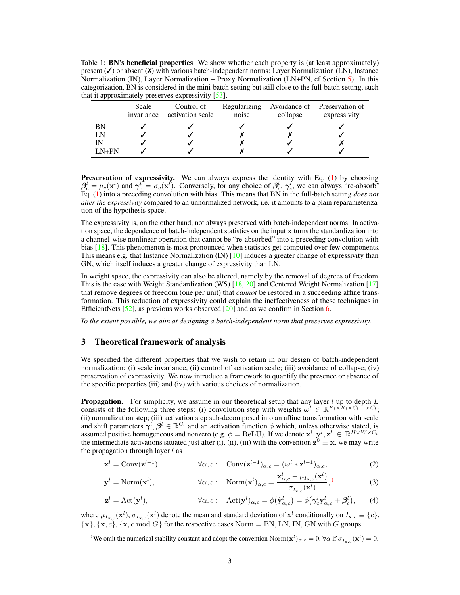<span id="page-2-0"></span>Table 1: **BN's beneficial properties**. We show whether each property is (at least approximately) present  $(\checkmark)$  or absent  $(\checkmark)$  with various batch-independent norms: Layer Normalization (LN), Instance Normalization (IN), Layer Normalization + Proxy Normalization (LN+PN, cf Section [5\)](#page-7-0). In this categorization, BN is considered in the mini-batch setting but still close to the full-batch setting, such that it approximately preserves expressivity [\[53\]](#page-13-5).

|           | Scale<br>invariance | Control of<br>activation scale | Regularizing<br>noise | collapse | Avoidance of Preservation of<br>expressivity |
|-----------|---------------------|--------------------------------|-----------------------|----------|----------------------------------------------|
| <b>BN</b> |                     |                                |                       |          |                                              |
| LN        |                     |                                |                       |          |                                              |
| IN        |                     |                                |                       |          |                                              |
| $LN+PN$   |                     |                                |                       |          |                                              |

**Preservation of expressivity.** We can always express the identity with Eq. [\(1\)](#page-1-0) by choosing  $\beta_c^l = \mu_c(\mathbf{x}^l)$  and  $\gamma_c^l = \sigma_c(\mathbf{x}^l)$ . Conversely, for any choice of  $\beta_c^l$ ,  $\gamma_c^l$ , we can always "re-absorb" Eq. [\(1\)](#page-1-0) into a preceding convolution with bias. This means that BN in the full-batch setting *does not alter the expressivity* compared to an unnormalized network, i.e. it amounts to a plain reparameterization of the hypothesis space.

The expressivity is, on the other hand, not always preserved with batch-independent norms. In activation space, the dependence of batch-independent statistics on the input x turns the standardization into a channel-wise nonlinear operation that cannot be "re-absorbed" into a preceding convolution with bias [\[18\]](#page-11-3). This phenomenon is most pronounced when statistics get computed over few components. This means e.g. that Instance Normalization  $(IN)$  [\[10\]](#page-10-9) induces a greater change of expressivity than GN, which itself induces a greater change of expressivity than LN.

In weight space, the expressivity can also be altered, namely by the removal of degrees of freedom. This is the case with Weight Standardization (WS) [\[18,](#page-11-3) [20\]](#page-11-5) and Centered Weight Normalization [\[17\]](#page-11-2) that remove degrees of freedom (one per unit) that *cannot* be restored in a succeeding affine transformation. This reduction of expressivity could explain the ineffectiveness of these techniques in EfficientNets  $[52]$ , as previous works observed  $[20]$  and as we confirm in Section [6.](#page-8-0)

*To the extent possible, we aim at designing a batch-independent norm that preserves expressivity.*

#### <span id="page-2-5"></span>3 Theoretical framework of analysis

We specified the different properties that we wish to retain in our design of batch-independent normalization: (i) scale invariance, (ii) control of activation scale; (iii) avoidance of collapse; (iv) preservation of expressivity. We now introduce a framework to quantify the presence or absence of the specific properties (iii) and (iv) with various choices of normalization.

**Propagation.** For simplicity, we assume in our theoretical setup that any layer  $l$  up to depth  $L$ consists of the following three steps: (i) convolution step with weights  $\omega^l \in \mathbb{R}^{K_l \times K_l \times C_{l-1} \times C_l}$ ; (ii) normalization step; (iii) activation step sub-decomposed into an affine transformation with scale and shift parameters  $\gamma^l, \beta^l \in \mathbb{R}^{C_l}$  and an activation function  $\phi$  which, unless otherwise stated, is assumed positive homogeneous and nonzero (e.g.  $\phi = \text{ReLU}$ ). If we denote  $\mathbf{x}^l, \mathbf{y}^l, \mathbf{z}^l \in \mathbb{R}^{H \times W \times C_l}$ the intermediate activations situated just after (i), (ii), (iii) with the convention  $z^0 \equiv x$ , we may write the propagation through layer  $l$  as

<span id="page-2-3"></span><span id="page-2-2"></span>
$$
\mathbf{x}^{l} = \text{Conv}(\mathbf{z}^{l-1}), \qquad \forall \alpha, c: \quad \text{Conv}(\mathbf{z}^{l-1})_{\alpha, c} = (\boldsymbol{\omega}^{l} * \mathbf{z}^{l-1})_{\alpha, c}, \tag{2}
$$

$$
\mathbf{y}^{l} = \text{Norm}(\mathbf{x}^{l}), \qquad \forall \alpha, c: \quad \text{Norm}(\mathbf{x}^{l})_{\alpha, c} = \frac{\mathbf{x}^{l}_{\alpha, c} - \mu_{I_{\mathbf{x}, c}}(\mathbf{x}^{l})}{\sigma_{I_{\mathbf{x}, c}}(\mathbf{x}^{l})},
$$
(3)

<span id="page-2-4"></span>
$$
\mathbf{z}^{l} = \text{Act}(\mathbf{y}^{l}), \qquad \forall \alpha, c: \quad \text{Act}(\mathbf{y}^{l})_{\alpha, c} = \phi(\tilde{\mathbf{y}}^{l}_{\alpha, c}) = \phi(\boldsymbol{\gamma}_{c}^{l} \mathbf{y}^{l}_{\alpha, c} + \boldsymbol{\beta}_{c}^{l}), \qquad (4)
$$

where  $\mu_{I_{\mathbf{x},c}}(\mathbf{x}^l), \sigma_{I_{\mathbf{x},c}}(\mathbf{x}^l)$  denote the mean and standard deviation of  $\mathbf{x}^l$  conditionally on  $I_{\mathbf{x},c} \equiv \{c\},\$  ${x}$ ,  ${x, c}$ ,  ${x, c \text{ mod } G}$  for the respective cases Norm = BN, LN, IN, GN with G groups.

<span id="page-2-1"></span><sup>&</sup>lt;sup>1</sup>We omit the numerical stability constant and adopt the convention  $\text{Norm}(\mathbf{x}^l)_{\alpha,c} = 0$ ,  $\forall \alpha$  if  $\sigma_{I_{\mathbf{x},c}}(\mathbf{x}^l) = 0$ .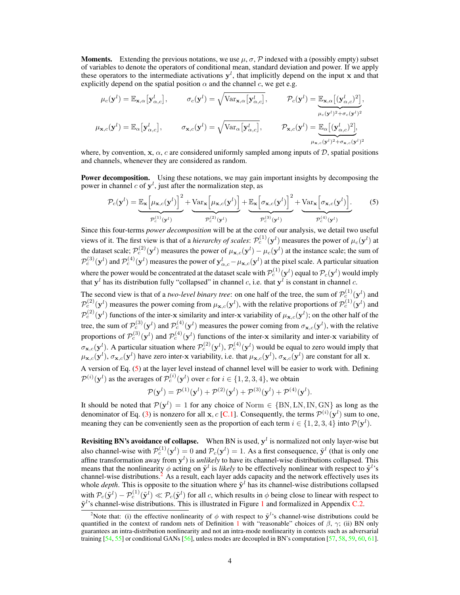**Moments.** Extending the previous notations, we use  $\mu$ ,  $\sigma$ ,  $\mathcal{P}$  indexed with a (possibly empty) subset of variables to denote the operators of conditional mean, standard deviation and power. If we apply these operators to the intermediate activations  $y<sup>l</sup>$ , that implicitly depend on the input x and that explicitly depend on the spatial position  $\alpha$  and the channel c, we get e.g.

$$
\mu_c(\mathbf{y}^l) = \mathbb{E}_{\mathbf{x},\alpha} [\mathbf{y}_{\alpha,c}^l], \qquad \sigma_c(\mathbf{y}^l) = \sqrt{\text{Var}_{\mathbf{x},\alpha} [\mathbf{y}_{\alpha,c}^l]}, \qquad \mathcal{P}_c(\mathbf{y}^l) = \underbrace{\mathbb{E}_{\mathbf{x},\alpha} [(\mathbf{y}_{\alpha,c}^l)^2]}_{\mu_c(\mathbf{y}^l)^2 + \sigma_c(\mathbf{y}^l)^2},
$$
\n
$$
\mu_{\mathbf{x},c}(\mathbf{y}^l) = \mathbb{E}_{\alpha} [\mathbf{y}_{\alpha,c}^l], \qquad \sigma_{\mathbf{x},c}(\mathbf{y}^l) = \sqrt{\text{Var}_{\alpha} [\mathbf{y}_{\alpha,c}^l]}, \qquad \mathcal{P}_{\mathbf{x},c}(\mathbf{y}^l) = \underbrace{\mathbb{E}_{\alpha} [(\mathbf{y}_{\alpha,c}^l)^2]}_{\mu_{\mathbf{x},c}(\mathbf{y}^l)^2 + \sigma_{\mathbf{x},c}(\mathbf{y}^l)^2},
$$

where, by convention, x,  $\alpha$ , c are considered uniformly sampled among inputs of  $\mathcal{D}$ , spatial positions and channels, whenever they are considered as random.

**Power decomposition.** Using these notations, we may gain important insights by decomposing the power in channel  $c$  of  $y^l$ , just after the normalization step, as

<span id="page-3-0"></span>
$$
\mathcal{P}_c(\mathbf{y}^l) = \underbrace{\mathbb{E}_{\mathbf{x}} \left[ \mu_{\mathbf{x},c}(\mathbf{y}^l) \right]^2}_{\mathcal{P}_c^{(1)}(\mathbf{y}^l)} + \underbrace{\text{Var}_{\mathbf{x}} \left[ \mu_{\mathbf{x},c}(\mathbf{y}^l) \right]}_{\mathcal{P}_c^{(2)}(\mathbf{y}^l)} + \underbrace{\mathbb{E}_{\mathbf{x}} \left[ \sigma_{\mathbf{x},c}(\mathbf{y}^l) \right]^2}_{\mathcal{P}_c^{(3)}(\mathbf{y}^l)} + \underbrace{\text{Var}_{\mathbf{x}} \left[ \sigma_{\mathbf{x},c}(\mathbf{y}^l) \right]}_{\mathcal{P}_c^{(4)}(\mathbf{y}^l)}.
$$
 (5)

Since this four-terms *power decomposition* will be at the core of our analysis, we detail two useful views of it. The first view is that of a *hierarchy of scales*:  $\mathcal{P}_c^{(1)}(\mathbf{y}^l)$  measures the power of  $\mu_c(\mathbf{y}^l)$  at the dataset scale;  $\mathcal{P}_c^{(2)}(\mathbf{y}^l)$  measures the power of  $\mu_{\mathbf{x},c}(\mathbf{y}^l) - \mu_c(\mathbf{y}^l)$  at the instance scale; the sum of  $\mathcal{P}_c^{(3)}(\mathbf{y}^l)$  and  $\mathcal{P}_c^{(4)}(\mathbf{y}^l)$  measures the power of  $\mathbf{y}^l_{\alpha,c} - \mu_{\mathbf{x},c}(\mathbf{y}^l)$  at the pixel scale. A particular situation where the power would be concentrated at the dataset scale with  $\mathcal{P}_c^{(1)}(y^l)$  equal to  $\mathcal{P}_c(y^l)$  would imply that  $y^l$  has its distribution fully "collapsed" in channel c, i.e. that  $y^l$  is constant in channel c.

The second view is that of a *two-level binary tree*: on one half of the tree, the sum of  $\mathcal{P}_c^{(1)}(\mathbf{y}^l)$  and  $\mathcal{P}_c^{(2)}(\mathbf{y}^l)$  measures the power coming from  $\mu_{\mathbf{x},c}(\mathbf{y}^l)$ , with the relative proportions of  $\mathcal{P}_c^{(1)}(\mathbf{y}^l)$  and  $\mathcal{P}_c^{(2)}(\mathbf{y}^l)$  functions of the inter-x similarity and inter-x variability of  $\mu_{\mathbf{x},c}(\mathbf{y}^l)$ ; on the other half of the tree, the sum of  $\mathcal{P}_c^{(3)}(\mathbf{y}^l)$  and  $\mathcal{P}_c^{(4)}(\mathbf{y}^l)$  measures the power coming from  $\sigma_{\mathbf{x},c}(\mathbf{y}^l)$ , with the relative proportions of  $\mathcal{P}_c^{(3)}(\mathbf{y}^l)$  and  $\mathcal{P}_c^{(4)}(\mathbf{y}^l)$  functions of the inter-x similarity and inter-x variability of  $\sigma_{\mathbf{x},c}(\mathbf{y}^l)$ . A particular situation where  $\mathcal{P}_c^{(2)}(\mathbf{y}^l)$ ,  $\mathcal{P}_c^{(4)}(\mathbf{y}^l)$  would be equal to zero would imply that  $\mu_{\mathbf{x},c}(\mathbf{y}^l), \sigma_{\mathbf{x},c}(\mathbf{y}^l)$  have zero inter-x variability, i.e. that  $\mu_{\mathbf{x},c}(\mathbf{y}^l), \sigma_{\mathbf{x},c}(\mathbf{y}^l)$  are constant for all x.

A version of Eq. [\(5\)](#page-3-0) at the layer level instead of channel level will be easier to work with. Defining  $\mathcal{P}^{(i)}(\mathbf{y}^l)$  as the averages of  $\mathcal{P}_c^{(i)}(\mathbf{y}^l)$  over  $c$  for  $i \in \{1, 2, 3, 4\}$ , we obtain

$$
\mathcal{P}(\mathbf{y}^l)=\mathcal{P}^{(1)}(\mathbf{y}^l)+\mathcal{P}^{(2)}(\mathbf{y}^l)+\mathcal{P}^{(3)}(\mathbf{y}^l)+\mathcal{P}^{(4)}(\mathbf{y}^l).
$$

It should be noted that  $\mathcal{P}(\mathbf{y}^l) = 1$  for any choice of Norm  $\in \{BN, LN, IN, GN\}$  as long as the denominator of Eq. [\(3\)](#page-2-2) is nonzero for all **x**, c [\[C.1\]](#page--1-0). Consequently, the terms  $\mathcal{P}^{(i)}(\mathbf{y}^{l})$  sum to one, meaning they can be conveniently seen as the proportion of each term  $i \in \{1, 2, 3, 4\}$  into  $\mathcal{P}(\mathbf{y}^l)$ .

**Revisiting BN's avoidance of collapse.** When BN is used,  $y^l$  is normalized not only layer-wise but also channel-wise with  $\mathcal{P}_c^{(1)}(\mathbf{y}^l) = 0$  and  $\mathcal{P}_c(\mathbf{y}^l) = 1$ . As a first consequence,  $\tilde{\mathbf{y}}^l$  (that is only one affine transformation away from  $y^l$ ) is *unlikely* to have its channel-wise distributions collapsed. This means that the nonlinearity  $\phi$  acting on  $\tilde{\mathbf{y}}^l$  is *likely* to be effectively nonlinear with respect to  $\tilde{\mathbf{y}}^l$ 's channel-wise distributions. $^{2}$  $^{2}$  $^{2}$  As a result, each layer adds capacity and the network effectively uses its whole *depth*. This is opposite to the situation where  $\tilde{y}^l$  has its channel-wise distributions collapsed with  $\mathcal{P}_c(\tilde{\mathbf{y}}^l) - \mathcal{P}_c^{(1)}(\tilde{\mathbf{y}}^l) \ll \mathcal{P}_c(\tilde{\mathbf{y}}^l)$  for all c, which results in  $\phi$  being close to linear with respect to  $\tilde{y}^{l}$ 's channel-wise distributions. This is illustrated in Figure [1](#page-4-1) and formalized in Appendix [C.2.](#page--1-1)

<span id="page-3-1"></span><sup>&</sup>lt;sup>2</sup>Note that: (i) the effective nonlinearity of  $\phi$  with respect to  $\tilde{\mathbf{y}}^{l}$ 's channel-wise distributions could be quantified in the context of random nets of Definition [1](#page-4-2) with "reasonable" choices of  $\beta$ ,  $\gamma$ ; (ii) BN only guarantees an intra-distribution nonlinearity and not an intra-mode nonlinearity in contexts such as adversarial training  $[54, 55]$  $[54, 55]$  $[54, 55]$  or conditional GANs  $[56]$ , unless modes are decoupled in BN's computation  $[57, 58, 59, 60, 61]$  $[57, 58, 59, 60, 61]$  $[57, 58, 59, 60, 61]$  $[57, 58, 59, 60, 61]$  $[57, 58, 59, 60, 61]$  $[57, 58, 59, 60, 61]$  $[57, 58, 59, 60, 61]$  $[57, 58, 59, 60, 61]$  $[57, 58, 59, 60, 61]$ .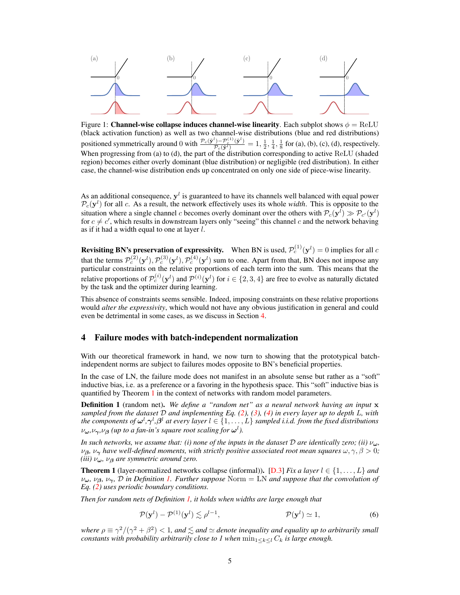<span id="page-4-1"></span>

Figure 1: **Channel-wise collapse induces channel-wise linearity**. Each subplot shows  $\phi = \text{ReLU}$ (black activation function) as well as two channel-wise distributions (blue and red distributions) positioned symmetrically around 0 with  $\frac{\mathcal{P}_c(\tilde{\mathbf{y}}^l) - \mathcal{P}_c^{(1)}(\tilde{\mathbf{y}}^l)}{\mathcal{P}_c(\tilde{\mathbf{y}}^l)} = 1, \frac{1}{2}, \frac{1}{4}, \frac{1}{8}$  for (a), (b), (c), (d), respectively. When progressing from (a) to (d), the part of the distribution corresponding to active ReLU (shaded region) becomes either overly dominant (blue distribution) or negligible (red distribution). In either case, the channel-wise distribution ends up concentrated on only one side of piece-wise linearity.

As an additional consequence,  $y^l$  is guaranteed to have its channels well balanced with equal power  $\mathcal{P}_c(\mathbf{y}^l)$  for all c. As a result, the network effectively uses its whole *width*. This is opposite to the situation where a single channel c becomes overly dominant over the others with  $\mathcal{P}_c(\mathbf{y}^l) \gg \mathcal{P}_{c'}(\mathbf{y}^l)$ for  $c \neq c'$ , which results in downstream layers only "seeing" this channel c and the network behaving as if it had a width equal to one at layer l.

**Revisiting BN's preservation of expressivity.** When BN is used,  $\mathcal{P}_c^{(1)}(\mathbf{y}^l) = 0$  implies for all c that the terms  $\mathcal{P}_c^{(2)}(\mathbf{y}^l), \mathcal{P}_c^{(3)}(\mathbf{y}^l), \mathcal{P}_c^{(4)}(\mathbf{y}^l)$  sum to one. Apart from that, BN does not impose any particular constraints on the relative proportions of each term into the sum. This means that the relative proportions of  $\mathcal{P}_c^{(i)}(\mathbf{y}^l)$  and  $\mathcal{P}^{(i)}(\mathbf{y}^l)$  for  $i \in \{2,3,4\}$  are free to evolve as naturally dictated by the task and the optimizer during learning.

This absence of constraints seems sensible. Indeed, imposing constraints on these relative proportions would *alter the expressivity*, which would not have any obvious justification in general and could even be detrimental in some cases, as we discuss in Section [4.](#page-4-0)

#### <span id="page-4-0"></span>4 Failure modes with batch-independent normalization

With our theoretical framework in hand, we now turn to showing that the prototypical batchindependent norms are subject to failures modes opposite to BN's beneficial properties.

In the case of LN, the failure mode does not manifest in an absolute sense but rather as a "soft" inductive bias, i.e. as a preference or a favoring in the hypothesis space. This "soft" inductive bias is quantified by Theorem [1](#page-4-3) in the context of networks with random model parameters.

<span id="page-4-2"></span>Definition 1 (random net). *We define a "random net" as a neural network having an input* x *sampled from the dataset* D *and implementing Eq. [\(2\)](#page-2-3), [\(3\)](#page-2-2), [\(4\)](#page-2-4) in every layer up to depth* L*, with the components of*  $\omega^l, \gamma^l, \beta^l$  at every layer  $l \in \{1, \ldots, L\}$  sampled i.i.d. from the fixed distributions  $\nu_{\boldsymbol{\omega}}, \nu_{\boldsymbol{\gamma}}, \nu_{\boldsymbol{\beta}}$  (up to a fan-in's square root scaling for  $\boldsymbol{\omega}^l$ ).

*In such networks, we assume that: (i) none of the inputs in the dataset*  $D$  *are identically zero; (ii)*  $\nu_{\omega}$ *,*  $\nu_{\beta}$ ,  $\nu_{\gamma}$  *have well-defined moments, with strictly positive associated root mean squares*  $\omega, \gamma, \beta > 0$ ; *(iii)* νω*,* ν<sup>β</sup> *are symmetric around zero.*

<span id="page-4-3"></span>**Theorem 1** (layer-normalized networks collapse (informal)). [\[D.3\]](#page--1-2) *Fix a layer*  $l \in \{1, ..., L\}$  *and*  $\nu_\omega$ ,  $\nu_\beta$ ,  $\nu_\gamma$ ,  $\bar{\mathcal{D}}$  *in Definition [1.](#page-4-2) Further suppose* Norm = LN *and suppose that the convolution of Eq. [\(2\)](#page-2-3) uses periodic boundary conditions.*

*Then for random nets of Definition [1,](#page-4-2) it holds when widths are large enough that*

<span id="page-4-4"></span>
$$
\mathcal{P}(\mathbf{y}^l) - \mathcal{P}^{(1)}(\mathbf{y}^l) \lesssim \rho^{l-1}, \qquad \mathcal{P}(\mathbf{y}^l) \simeq 1,\tag{6}
$$

*where*  $\rho \equiv \gamma^2/(\gamma^2 + \beta^2) < 1$ , and  $\leq$  and  $\simeq$  denote inequality and equality up to arbitrarily small *constants with probability arbitrarily close to 1 when*  $\min_{1 \leq k \leq l} C_k$  *is large enough.*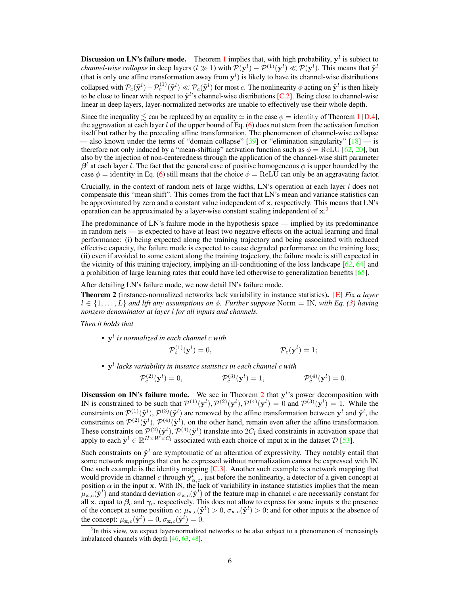**Discussion on LN's failure mode.** Theorem [1](#page-4-3) implies that, with high probability,  $y^l$  is subject to *channel-wise collapse* in deep layers ( $l \gg 1$ ) with  $\mathcal{P}(\mathbf{y}^l) - \mathcal{P}^{(1)}(\mathbf{y}^l) \ll \mathcal{P}(\mathbf{y}^l)$ . This means that  $\tilde{\mathbf{y}}^l$ (that is only one affine transformation away from  $y^l$ ) is likely to have its channel-wise distributions collapsed with  $\mathcal{P}_c(\tilde{\mathbf{y}}^l) - \mathcal{P}_c^{(1)}(\tilde{\mathbf{y}}^l) \ll \mathcal{P}_c(\tilde{\mathbf{y}}^l)$  for most c. The nonlinearity  $\phi$  acting on  $\tilde{\mathbf{y}}^l$  is then likely to be close to linear with respect to  $\tilde{y}^{l}$ 's channel-wise distributions [\[C.2\]](#page--1-1). Being close to channel-wise linear in deep layers, layer-normalized networks are unable to effectively use their whole depth.

Since the inequality  $\leq$  can be replaced by an equality  $\simeq$  in the case  $\phi =$  identity of Theorem [1](#page-4-3) [\[D.4\]](#page--1-3), the aggravation at each layer l of the upper bound of Eq.  $(6)$  does not stem from the activation function itself but rather by the preceding affine transformation. The phenomenon of channel-wise collapse - also known under the terms of "domain collapse"  $[39]$  or "elimination singularity"  $[18]$  - is therefore not only induced by a "mean-shifting" activation function such as  $\phi = \text{ReLU}$  [\[62,](#page-13-15) [20\]](#page-11-5), but also by the injection of non-centeredness through the application of the channel-wise shift parameter  $\beta^l$  at each layer l. The fact that the general case of positive homogeneous  $\phi$  is upper bounded by the case  $\phi$  = identity in Eq. [\(6\)](#page-4-4) still means that the choice  $\phi$  = ReLU can only be an aggravating factor.

Crucially, in the context of random nets of large widths,  $LN$ 's operation at each layer  $l$  does not compensate this "mean shift". This comes from the fact that LN's mean and variance statistics can be approximated by zero and a constant value independent of x, respectively. This means that LN's operation can be approximated by a layer-wise constant scaling independent of  $x^3$  $x^3$ .

The predominance of LN's failure mode in the hypothesis space — implied by its predominance in random nets — is expected to have at least two negative effects on the actual learning and final performance: (i) being expected along the training trajectory and being associated with reduced effective capacity, the failure mode is expected to cause degraded performance on the training loss; (ii) even if avoided to some extent along the training trajectory, the failure mode is still expected in the vicinity of this training trajectory, implying an ill-conditioning of the loss landscape  $[62, 64]$  $[62, 64]$  $[62, 64]$  and a prohibition of large learning rates that could have led otherwise to generalization benefits [\[65\]](#page-14-1).

After detailing LN's failure mode, we now detail IN's failure mode.

<span id="page-5-1"></span>Theorem 2 (instance-normalized networks lack variability in instance statistics). [\[E\]](#page--1-4) *Fix a layer*  $l \in \{1, \ldots, L\}$  and lift any assumptions on  $\phi$ . Further suppose Norm = IN, with Eq. [\(3\)](#page-2-2) having *nonzero denominator at layer* l *for all inputs and channels.*

*Then it holds that*

• y l *is normalized in each channel* c *with*

$$
\mathcal{P}_c^{(1)}(\mathbf{y}^l) = 0, \qquad \qquad \mathcal{P}_c(\mathbf{y}^l) = 1;
$$

• y l *lacks variability in instance statistics in each channel* c *with*

$$
\mathcal{P}_c^{(2)}(\mathbf{y}^l) = 0, \qquad \qquad \mathcal{P}_c^{(3)}(\mathbf{y}^l) = 1, \qquad \qquad \mathcal{P}_c^{(4)}(\mathbf{y}^l) = 0.
$$

**Discussion on IN's failure mode.** We see in Theorem [2](#page-5-1) that  $y^{l}$ 's power decomposition with IN is constrained to be such that  $\mathcal{P}^{(1)}(\mathbf{y}^{l}), \mathcal{P}^{(2)}(\mathbf{y}^{l}), \mathcal{P}^{(4)}(\mathbf{y}^{l}) = 0$  and  $\mathcal{P}^{(3)}(\mathbf{y}^{l}) = 1$ . While the constraints on  $\mathcal{P}^{(1)}(\tilde{\mathbf{y}}^l), \mathcal{P}^{(3)}(\tilde{\mathbf{y}}^l)$  are removed by the affine transformation between  $\mathbf{y}^l$  and  $\tilde{\mathbf{y}}^l$ , the constraints on  $\mathcal{P}^{(2)}(\tilde{\mathbf{y}}^l), \mathcal{P}^{(4)}(\tilde{\mathbf{y}}^l)$ , on the other hand, remain even after the affine transformation. These constraints on  $\mathcal{P}^{(2)}(\tilde{\mathbf{y}}^{l}), \mathcal{P}^{(4)}(\tilde{\mathbf{y}}^{l})$  translate into  $2C_l$  fixed constraints in activation space that apply to each  $\tilde{\mathbf{y}}^l \in \mathbb{R}^{H \times W \times C_l}$  associated with each choice of input x in the dataset  $\mathcal{D}$  [\[53\]](#page-13-5).

Such constraints on  $\tilde{\mathbf{y}}^l$  are symptomatic of an alteration of expressivity. They notably entail that some network mappings that can be expressed without normalization cannot be expressed with IN. One such example is the identity mapping [\[C.3\]](#page--1-5). Another such example is a network mapping that would provide in channel c through  $\tilde{y}_{\alpha,c}^l$ , just before the nonlinearity, a detector of a given concept at position  $\alpha$  in the input x. With IN, the lack of variability in instance statistics implies that the mean  $\mu_{\mathbf{x},c}(\tilde{\mathbf{y}}^l)$  and standard deviation  $\sigma_{\mathbf{x},c}(\tilde{\mathbf{y}}^l)$  of the feature map in channel c are necessarily constant for all x, equal to  $\beta_c$  and  $\gamma_c$ , respectively. This does not allow to express for some inputs x the presence of the concept at some position  $\alpha$ :  $\mu_{\mathbf{x},c}(\tilde{\mathbf{y}}^l) > 0$ ,  $\sigma_{\mathbf{x},c}(\tilde{\mathbf{y}}^l) > 0$ ; and for other inputs x the absence of the concept:  $\mu_{\mathbf{x},c}(\tilde{\mathbf{y}}^l) = 0$ ,  $\sigma_{\mathbf{x},c}(\tilde{\mathbf{y}}^l) = 0$ .

<span id="page-5-0"></span><sup>&</sup>lt;sup>3</sup>In this view, we expect layer-normalized networks to be also subject to a phenomenon of increasingly imbalanced channels with depth [\[46,](#page-12-14) [63,](#page-13-16) [48\]](#page-13-1).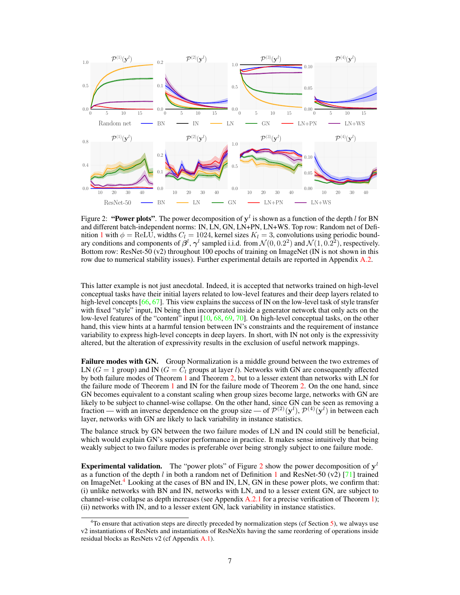<span id="page-6-0"></span>

Figure 2: "Power plots". The power decomposition of  $y^l$  is shown as a function of the depth l for BN and different batch-independent norms: IN, LN, GN, LN+PN, LN+WS. Top row: Random net of Defi-nition [1](#page-4-2) with  $\phi = \text{ReLU}$ , widths  $C_l = 1024$ , kernel sizes  $K_l = 3$ , convolutions using periodic boundary conditions and components of  $\beta^l$ ,  $\gamma^l$  sampled i.i.d. from  $\mathcal{N}(0, 0.2^2)$  and  $\mathcal{N}(1, 0.2^2)$ , respectively. Bottom row: ResNet-50 (v2) throughout 100 epochs of training on ImageNet (IN is not shown in this row due to numerical stability issues). Further experimental details are reported in Appendix [A.2.](#page--1-6)

This latter example is not just anecdotal. Indeed, it is accepted that networks trained on high-level conceptual tasks have their initial layers related to low-level features and their deep layers related to high-level concepts [\[66,](#page-14-2) [67\]](#page-14-3). This view explains the success of IN on the low-level task of style transfer with fixed "style" input, IN being then incorporated inside a generator network that only acts on the low-level features of the "content" input [\[10,](#page-10-9) [68,](#page-14-4) [69,](#page-14-5) [70\]](#page-14-6). On high-level conceptual tasks, on the other hand, this view hints at a harmful tension between IN's constraints and the requirement of instance variability to express high-level concepts in deep layers. In short, with IN not only is the expressivity altered, but the alteration of expressivity results in the exclusion of useful network mappings.

Failure modes with GN. Group Normalization is a middle ground between the two extremes of LN ( $G = 1$  group) and IN ( $G = C_l$  groups at layer l). Networks with GN are consequently affected by both failure modes of Theorem [1](#page-4-3) and Theorem [2,](#page-5-1) but to a lesser extent than networks with LN for the failure mode of Theorem [1](#page-4-3) and IN for the failure mode of Theorem [2.](#page-5-1) On the one hand, since GN becomes equivalent to a constant scaling when group sizes become large, networks with GN are likely to be subject to channel-wise collapse. On the other hand, since GN can be seen as removing a fraction — with an inverse dependence on the group size — of  $\mathcal{P}^{(2)}(\mathbf{y}^l)$ ,  $\mathcal{P}^{(4)}(\mathbf{y}^l)$  in between each layer, networks with GN are likely to lack variability in instance statistics.

The balance struck by GN between the two failure modes of LN and IN could still be beneficial, which would explain GN's superior performance in practice. It makes sense intuitively that being weakly subject to two failure modes is preferable over being strongly subject to one failure mode.

**Experimental validation.** The "power plots" of Figure [2](#page-6-0) show the power decomposition of  $y<sup>l</sup>$ as a function of the depth l in both a random net of Definition [1](#page-4-2) and ResNet-50 (v2) [\[71\]](#page-14-7) trained on ImageNet.<sup>[4](#page-6-1)</sup> Looking at the cases of BN and IN, LN, GN in these power plots, we confirm that: (i) unlike networks with BN and IN, networks with LN, and to a lesser extent GN, are subject to channel-wise collapse as depth increases (see Appendix [A.2.1](#page--1-7) for a precise verification of Theorem [1\)](#page-4-3); (ii) networks with IN, and to a lesser extent GN, lack variability in instance statistics.

<span id="page-6-1"></span> $4$ To ensure that activation steps are directly preceded by normalization steps (cf Section [5\)](#page-7-0), we always use v2 instantiations of ResNets and instantiations of ResNeXts having the same reordering of operations inside residual blocks as ResNets v2 (cf Appendix [A.1\)](#page--1-8).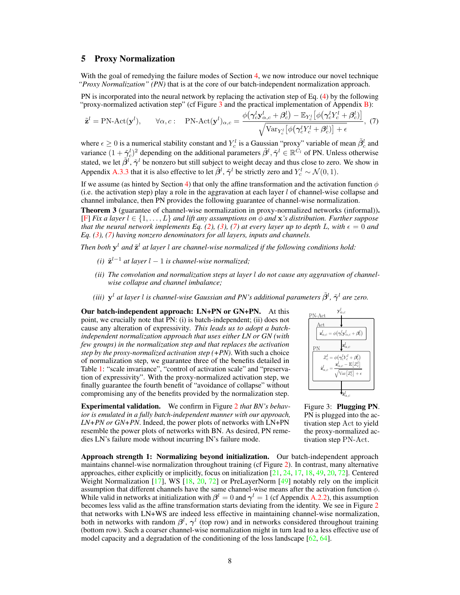## <span id="page-7-0"></span>5 Proxy Normalization

With the goal of remedying the failure modes of Section [4,](#page-4-0) we now introduce our novel technique *"Proxy Normalization" (PN)* that is at the core of our batch-independent normalization approach.

PN is incorporated into the neural network by replacing the activation step of Eq. [\(4\)](#page-2-4) by the following "proxy-normalized activation step" (cf Figure [3](#page-7-1) and the practical implementation of Appendix [B\)](#page--1-9):

$$
\tilde{\mathbf{z}}^{l} = \text{PN-Act}(\mathbf{y}^{l}), \qquad \forall \alpha, c: \quad \text{PN-Act}(\mathbf{y}^{l})_{\alpha, c} = \frac{\phi(\gamma_{c}^{l}\mathbf{y}_{\alpha, c}^{l} + \beta_{c}^{l}) - \mathbb{E}_{Y_{c}^{l}}\left[\phi(\gamma_{c}^{l}Y_{c}^{l} + \beta_{c}^{l})\right]}{\sqrt{\text{Var}_{Y_{c}^{l}}\left[\phi(\gamma_{c}^{l}Y_{c}^{l} + \beta_{c}^{l})\right] + \epsilon}}, \tag{7}
$$

where  $\epsilon \geq 0$  is a numerical stability constant and  $Y_c^l$  is a Gaussian "proxy" variable of mean  $\tilde{\beta}_c^l$  and variance  $(1 + \tilde{\gamma}_c^l)^2$  depending on the additional parameters  $\tilde{\beta}^l, \tilde{\gamma}^l \in \mathbb{R}^{C_l}$  of PN. Unless otherwise stated, we let  $\tilde{\beta}^l$ ,  $\tilde{\gamma}^l$  be nonzero but still subject to weight decay and thus close to zero. We show in Appendix [A.3.3](#page--1-10) that it is also effective to let  $\tilde{\beta}^l$ ,  $\tilde{\gamma}^l$  be strictly zero and  $Y_c^l \sim \mathcal{N}(0, 1)$ .

If we assume (as hinted by Section [4\)](#page-4-0) that only the affine transformation and the activation function  $\phi$ (i.e. the activation step) play a role in the aggravation at each layer l of channel-wise collapse and channel imbalance, then PN provides the following guarantee of channel-wise normalization.

Theorem 3 (guarantee of channel-wise normalization in proxy-normalized networks (informal)). [\[F\]](#page--1-11) *Fix a layer* l ∈ {1, . . . , L} *and lift any assumptions on* φ *and* x*'s distribution. Further suppose that the neural network implements Eq. [\(2\)](#page-2-3), [\(3\)](#page-2-2), [\(7\)](#page-7-2) at every layer up to depth L, with*  $\epsilon = 0$  *and Eq. [\(3\)](#page-2-2), [\(7\)](#page-7-2) having nonzero denominators for all layers, inputs and channels.*

Then both  $y^l$  and  $\tilde{z}^l$  at layer  $l$  are channel-wise normalized if the following conditions hold:

- (*i*)  $\tilde{\mathbf{z}}^{l-1}$  at layer  $l-1$  is channel-wise normalized;
- *(ii) The convolution and normalization steps at layer* l *do not cause any aggravation of channelwise collapse and channel imbalance;*
- (iii)  $y^l$  at layer l is channel-wise Gaussian and PN's additional parameters  $\tilde{\beta}^l$ ,  $\tilde{\gamma}^l$  are zero.

Our batch-independent approach: LN+PN or GN+PN. At this point, we crucially note that PN: (i) is batch-independent; (ii) does not cause any alteration of expressivity. *This leads us to adopt a batchindependent normalization approach that uses either LN or GN (with few groups) in the normalization step and that replaces the activation step by the proxy-normalized activation step (+PN)*. With such a choice of normalization step, we guarantee three of the benefits detailed in Table [1:](#page-2-0) "scale invariance", "control of activation scale" and "preservation of expressivity". With the proxy-normalized activation step, we finally guarantee the fourth benefit of "avoidance of collapse" without compromising any of the benefits provided by the normalization step.

Experimental validation. We confirm in Figure [2](#page-6-0) *that BN's behavior is emulated in a fully batch-independent manner with our approach, LN+PN or GN+PN*. Indeed, the power plots of networks with LN+PN resemble the power plots of networks with BN. As desired, PN remedies LN's failure mode without incurring IN's failure mode.

<span id="page-7-2"></span>

<span id="page-7-1"></span>Figure 3: Plugging PN. PN is plugged into the activation step Act to yield the proxy-normalized activation step PN-Act.

Approach strength 1: Normalizing beyond initialization. Our batch-independent approach maintains channel-wise normalization throughout training (cf Figure [2\)](#page-6-0). In contrast, many alternative approaches, either explicitly or implicitly, focus on initialization [\[21,](#page-11-6) [24,](#page-11-9) [17,](#page-11-2) [18,](#page-11-3) [49,](#page-13-2) [20,](#page-11-5) [72\]](#page-14-8). Centered Weight Normalization  $[17]$ , WS  $[18, 20, 72]$  $[18, 20, 72]$  $[18, 20, 72]$  $[18, 20, 72]$  $[18, 20, 72]$  or PreLayerNorm  $[49]$  notably rely on the implicit assumption that different channels have the same channel-wise means after the activation function  $\phi$ . While valid in networks at initialization with  $\beta^l = 0$  and  $\gamma^l = 1$  (cf Appendix [A.2.2\)](#page--1-12), this assumption becomes less valid as the affine transformation starts deviating from the identity. We see in Figure [2](#page-6-0) that networks with LN+WS are indeed less effective in maintaining channel-wise normalization, both in networks with random  $\beta^l$ ,  $\gamma^l$  (top row) and in networks considered throughout training (bottom row). Such a coarser channel-wise normalization might in turn lead to a less effective use of model capacity and a degradation of the conditioning of the loss landscape  $[62, 64]$  $[62, 64]$  $[62, 64]$ .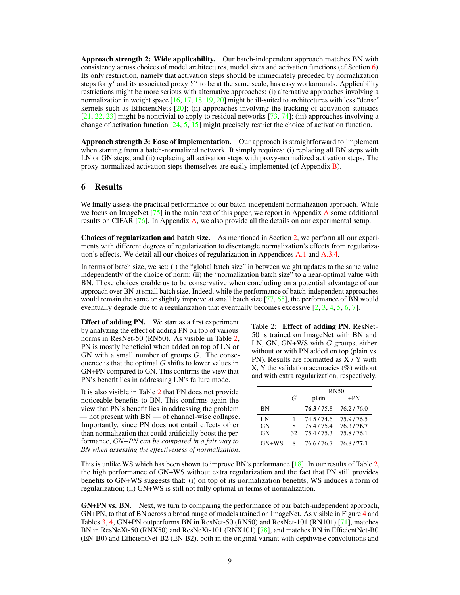Approach strength 2: Wide applicability. Our batch-independent approach matches BN with consistency across choices of model architectures, model sizes and activation functions (cf Section [6\)](#page-8-0). Its only restriction, namely that activation steps should be immediately preceded by normalization steps for  $y^l$  and its associated proxy  $Y^l$  to be at the same scale, has easy workarounds. Applicability restrictions might be more serious with alternative approaches: (i) alternative approaches involving a normalization in weight space [\[16,](#page-11-1) [17,](#page-11-2) [18,](#page-11-3) [19,](#page-11-4) [20\]](#page-11-5) might be ill-suited to architectures with less "dense" kernels such as EfficientNets  $[20]$ ; (ii) approaches involving the tracking of activation statistics  $[21, 22, 23]$  $[21, 22, 23]$  $[21, 22, 23]$  $[21, 22, 23]$  $[21, 22, 23]$  might be nontrivial to apply to residual networks  $[73, 74]$  $[73, 74]$  $[73, 74]$ ; (iii) approaches involving a change of activation function [\[24,](#page-11-9) [5,](#page-10-4) [15\]](#page-11-0) might precisely restrict the choice of activation function.

Approach strength 3: Ease of implementation. Our approach is straightforward to implement when starting from a batch-normalized network. It simply requires: (i) replacing all BN steps with LN or GN steps, and (ii) replacing all activation steps with proxy-normalized activation steps. The proxy-normalized activation steps themselves are easily implemented (cf Appendix [B\)](#page--1-9).

# <span id="page-8-0"></span>6 Results

We finally assess the practical performance of our batch-independent normalization approach. While we focus on ImageNet [\[75\]](#page-14-11) in the main text of this paper, we report in Appendix [A](#page--1-1) some additional results on CIFAR [\[76\]](#page-14-12). In Appendix [A,](#page--1-1) we also provide all the details on our experimental setup.

Choices of regularization and batch size. As mentioned in Section [2,](#page-1-1) we perform all our experiments with different degrees of regularization to disentangle normalization's effects from regularization's effects. We detail all our choices of regularization in Appendices [A.1](#page--1-8) and [A.3.4.](#page--1-13)

In terms of batch size, we set: (i) the "global batch size" in between weight updates to the same value independently of the choice of norm; (ii) the "normalization batch size" to a near-optimal value with BN. These choices enable us to be conservative when concluding on a potential advantage of our approach over BN at small batch size. Indeed, while the performance of batch-independent approaches would remain the same or slightly improve at small batch size [\[77,](#page-14-13) [65\]](#page-14-1), the performance of BN would eventually degrade due to a regularization that eventually becomes excessive  $[2, 3, 4, 5, 6, 7]$  $[2, 3, 4, 5, 6, 7]$  $[2, 3, 4, 5, 6, 7]$  $[2, 3, 4, 5, 6, 7]$  $[2, 3, 4, 5, 6, 7]$  $[2, 3, 4, 5, 6, 7]$  $[2, 3, 4, 5, 6, 7]$  $[2, 3, 4, 5, 6, 7]$  $[2, 3, 4, 5, 6, 7]$  $[2, 3, 4, 5, 6, 7]$  $[2, 3, 4, 5, 6, 7]$ .

Effect of adding PN. We start as a first experiment by analyzing the effect of adding PN on top of various norms in ResNet-50 (RN50). As visible in Table [2,](#page-8-1) PN is mostly beneficial when added on top of LN or GN with a small number of groups  $G$ . The consequence is that the optimal  $G$  shifts to lower values in GN+PN compared to GN. This confirms the view that PN's benefit lies in addressing LN's failure mode.

It is also visible in Table [2](#page-8-1) that PN does not provide noticeable benefits to BN. This confirms again the view that PN's benefit lies in addressing the problem — not present with BN — of channel-wise collapse. Importantly, since PN does not entail effects other than normalization that could artificially boost the performance, *GN+PN can be compared in a fair way to BN when assessing the effectiveness of normalization*. <span id="page-8-1"></span>Table 2: Effect of adding PN. ResNet-50 is trained on ImageNet with BN and LN, GN, GN+WS with  $G$  groups, either without or with PN added on top (plain vs. PN). Results are formatted as X / Y with  $X, Y$  the validation accuracies  $(\%)$  without and with extra regularization, respectively.

|           |    | <b>RN50</b> |           |  |
|-----------|----|-------------|-----------|--|
|           | G  | plain       | $+PN$     |  |
| ΒN        |    | 76.3/75.8   | 76.2/76.0 |  |
| LN        | 1  | 74.5/74.6   | 75.9/76.5 |  |
| <b>GN</b> | 8  | 75.4/75.4   | 76.3/76.7 |  |
| <b>GN</b> | 32 | 75.4/75.3   | 75.8/76.1 |  |
| $GN+WS$   | 8  | 76.6/76.7   | 76.8/77.1 |  |

This is unlike WS which has been shown to improve BN's performance [\[18\]](#page-11-3). In our results of Table [2,](#page-8-1) the high performance of GN+WS without extra regularization and the fact that PN still provides benefits to GN+WS suggests that: (i) on top of its normalization benefits, WS induces a form of regularization; (ii) GN+WS is still not fully optimal in terms of normalization.

GN+PN vs. BN. Next, we turn to comparing the performance of our batch-independent approach, GN+PN, to that of BN across a broad range of models trained on ImageNet. As visible in Figure [4](#page-9-0) and Tables [3,](#page-9-1) [4,](#page-9-2) GN+PN outperforms BN in ResNet-50 (RN50) and ResNet-101 (RN101) [\[71\]](#page-14-7), matches BN in ResNeXt-50 (RNX50) and ResNeXt-101 (RNX101) [\[78\]](#page-14-14), and matches BN in EfficientNet-B0 (EN-B0) and EfficientNet-B2 (EN-B2), both in the original variant with depthwise convolutions and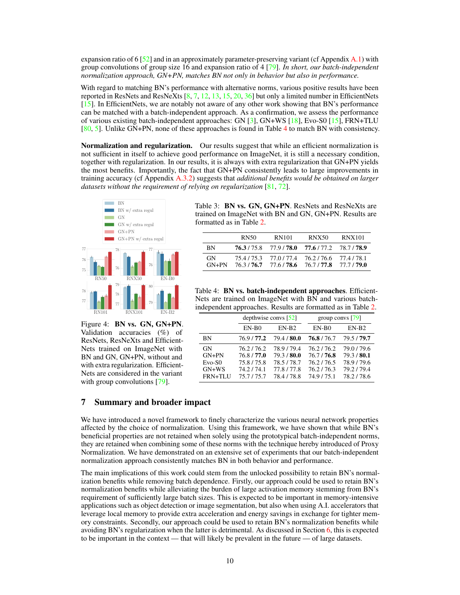expansion ratio of  $\frac{52}{2}$  and in an approximately parameter-preserving variant (cf Appendix [A.1\)](#page--1-8) with group convolutions of group size 16 and expansion ratio of 4 [\[79\]](#page-14-15). *In short, our batch-independent normalization approach, GN+PN, matches BN not only in behavior but also in performance.*

With regard to matching BN's performance with alternative norms, various positive results have been reported in ResNets and ResNeXts  $[8, 7, 12, 13, 15, 20, 36]$  $[8, 7, 12, 13, 15, 20, 36]$  $[8, 7, 12, 13, 15, 20, 36]$  $[8, 7, 12, 13, 15, 20, 36]$  $[8, 7, 12, 13, 15, 20, 36]$  $[8, 7, 12, 13, 15, 20, 36]$  $[8, 7, 12, 13, 15, 20, 36]$  $[8, 7, 12, 13, 15, 20, 36]$  $[8, 7, 12, 13, 15, 20, 36]$  $[8, 7, 12, 13, 15, 20, 36]$  $[8, 7, 12, 13, 15, 20, 36]$  $[8, 7, 12, 13, 15, 20, 36]$  $[8, 7, 12, 13, 15, 20, 36]$  but only a limited number in EfficientNets [\[15\]](#page-11-0). In EfficientNets, we are notably not aware of any other work showing that BN's performance can be matched with a batch-independent approach. As a confirmation, we assess the performance of various existing batch-independent approaches: GN [\[3\]](#page-10-2), GN+WS [\[18\]](#page-11-3), Evo-S0 [\[15\]](#page-11-0), FRN+TLU [\[80,](#page-14-16) [5\]](#page-10-4). Unlike GN+PN, none of these approaches is found in Table [4](#page-9-2) to match BN with consistency.

**Normalization and regularization.** Our results suggest that while an efficient normalization is not sufficient in itself to achieve good performance on ImageNet, it is still a necessary condition, together with regularization. In our results, it is always with extra regularization that GN+PN yields the most benefits. Importantly, the fact that GN+PN consistently leads to large improvements in training accuracy (cf Appendix [A.3.2\)](#page--1-14) suggests that *additional benefits would be obtained on larger datasets without the requirement of relying on regularization* [\[81,](#page-15-0) [72\]](#page-14-8).



<span id="page-9-0"></span>Figure 4: BN vs. GN, GN+PN. Validation accuracies (%) of ResNets, ResNeXts and Efficient-Nets trained on ImageNet with BN and GN, GN+PN, without and with extra regularization. Efficient-Nets are considered in the variant with group convolutions [\[79\]](#page-14-15).

<span id="page-9-1"></span>Table 3: BN vs. GN, GN+PN. ResNets and ResNeXts are trained on ImageNet with BN and GN, GN+PN. Results are formatted as in Table [2.](#page-8-1)

|                      | RN50      | <b>RN101</b>                               | <b>RNX50</b>             | <b>RNX101</b>            |
|----------------------|-----------|--------------------------------------------|--------------------------|--------------------------|
| <b>BN</b>            |           | 76.3/75.8 77.9/78.0                        | 77.6/77.2                | 78.7/78.9                |
| <b>GN</b><br>$GN+PN$ | 75.4/75.3 | 77.0 / 77.4<br>$76.3 / 76.7$ $77.6 / 78.6$ | 76.2/76.6<br>76.7 / 77.8 | 77.4/78.1<br>77.7 / 79.0 |

<span id="page-9-2"></span>Table 4: BN vs. batch-independent approaches. Efficient-Nets are trained on ImageNet with BN and various batchindependent approaches. Results are formatted as in Table [2.](#page-8-1)

|                                                 | depthwise convs $[52]$                                        |                                                               | group convs $[79]$                                            |                                                               |
|-------------------------------------------------|---------------------------------------------------------------|---------------------------------------------------------------|---------------------------------------------------------------|---------------------------------------------------------------|
|                                                 | $EN-B0$                                                       | $EN-B2$                                                       | $EN-B0$                                                       | $EN-B2$                                                       |
| BN                                              | 76.9/77.2                                                     | 79.4 / 80.0                                                   | 76.8/76.7                                                     | 79.5/79.7                                                     |
| GN<br>$GN+PN$<br>$Evo-S0$<br>$GN+WS$<br>FRN+TLU | 76.2/76.2<br>76.8/77.0<br>75.8/75.8<br>74.2/74.1<br>75.7/75.7 | 78.9/79.4<br>79.3/80.0<br>78.5/78.7<br>77.8/77.8<br>78.4/78.8 | 76.2/76.2<br>76.7/76.8<br>76.2/76.5<br>76.2/76.3<br>74.9/75.1 | 79.0/79.6<br>79.3/80.1<br>78.9/79.6<br>79.2/79.4<br>78.2/78.6 |

### 7 Summary and broader impact

We have introduced a novel framework to finely characterize the various neural network properties affected by the choice of normalization. Using this framework, we have shown that while BN's beneficial properties are not retained when solely using the prototypical batch-independent norms, they are retained when combining some of these norms with the technique hereby introduced of Proxy Normalization. We have demonstrated on an extensive set of experiments that our batch-independent normalization approach consistently matches BN in both behavior and performance.

The main implications of this work could stem from the unlocked possibility to retain BN's normalization benefits while removing batch dependence. Firstly, our approach could be used to retain BN's normalization benefits while alleviating the burden of large activation memory stemming from BN's requirement of sufficiently large batch sizes. This is expected to be important in memory-intensive applications such as object detection or image segmentation, but also when using A.I. accelerators that leverage local memory to provide extra acceleration and energy savings in exchange for tighter memory constraints. Secondly, our approach could be used to retain BN's normalization benefits while avoiding BN's regularization when the latter is detrimental. As discussed in Section [6,](#page-8-0) this is expected to be important in the context — that will likely be prevalent in the future — of large datasets.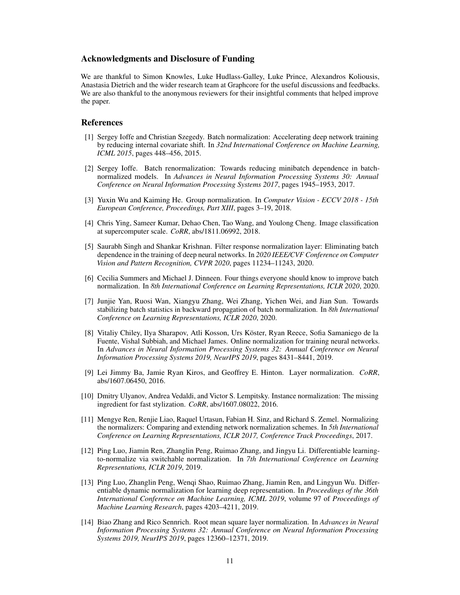#### Acknowledgments and Disclosure of Funding

We are thankful to Simon Knowles, Luke Hudlass-Galley, Luke Prince, Alexandros Koliousis, Anastasia Dietrich and the wider research team at Graphcore for the useful discussions and feedbacks. We are also thankful to the anonymous reviewers for their insightful comments that helped improve the paper.

#### References

- <span id="page-10-0"></span>[1] Sergey Ioffe and Christian Szegedy. Batch normalization: Accelerating deep network training by reducing internal covariate shift. In *32nd International Conference on Machine Learning, ICML 2015*, pages 448–456, 2015.
- <span id="page-10-1"></span>[2] Sergey Ioffe. Batch renormalization: Towards reducing minibatch dependence in batchnormalized models. In *Advances in Neural Information Processing Systems 30: Annual Conference on Neural Information Processing Systems 2017*, pages 1945–1953, 2017.
- <span id="page-10-2"></span>[3] Yuxin Wu and Kaiming He. Group normalization. In *Computer Vision - ECCV 2018 - 15th European Conference, Proceedings, Part XIII*, pages 3–19, 2018.
- <span id="page-10-3"></span>[4] Chris Ying, Sameer Kumar, Dehao Chen, Tao Wang, and Youlong Cheng. Image classification at supercomputer scale. *CoRR*, abs/1811.06992, 2018.
- <span id="page-10-4"></span>[5] Saurabh Singh and Shankar Krishnan. Filter response normalization layer: Eliminating batch dependence in the training of deep neural networks. In *2020 IEEE/CVF Conference on Computer Vision and Pattern Recognition, CVPR 2020*, pages 11234–11243, 2020.
- <span id="page-10-5"></span>[6] Cecilia Summers and Michael J. Dinneen. Four things everyone should know to improve batch normalization. In *8th International Conference on Learning Representations, ICLR 2020*, 2020.
- <span id="page-10-6"></span>[7] Junjie Yan, Ruosi Wan, Xiangyu Zhang, Wei Zhang, Yichen Wei, and Jian Sun. Towards stabilizing batch statistics in backward propagation of batch normalization. In *8th International Conference on Learning Representations, ICLR 2020*, 2020.
- <span id="page-10-7"></span>[8] Vitaliy Chiley, Ilya Sharapov, Atli Kosson, Urs Köster, Ryan Reece, Sofia Samaniego de la Fuente, Vishal Subbiah, and Michael James. Online normalization for training neural networks. In *Advances in Neural Information Processing Systems 32: Annual Conference on Neural Information Processing Systems 2019, NeurIPS 2019*, pages 8431–8441, 2019.
- <span id="page-10-8"></span>[9] Lei Jimmy Ba, Jamie Ryan Kiros, and Geoffrey E. Hinton. Layer normalization. *CoRR*, abs/1607.06450, 2016.
- <span id="page-10-9"></span>[10] Dmitry Ulyanov, Andrea Vedaldi, and Victor S. Lempitsky. Instance normalization: The missing ingredient for fast stylization. *CoRR*, abs/1607.08022, 2016.
- <span id="page-10-10"></span>[11] Mengye Ren, Renjie Liao, Raquel Urtasun, Fabian H. Sinz, and Richard S. Zemel. Normalizing the normalizers: Comparing and extending network normalization schemes. In *5th International Conference on Learning Representations, ICLR 2017, Conference Track Proceedings*, 2017.
- <span id="page-10-11"></span>[12] Ping Luo, Jiamin Ren, Zhanglin Peng, Ruimao Zhang, and Jingyu Li. Differentiable learningto-normalize via switchable normalization. In *7th International Conference on Learning Representations, ICLR 2019*, 2019.
- <span id="page-10-12"></span>[13] Ping Luo, Zhanglin Peng, Wenqi Shao, Ruimao Zhang, Jiamin Ren, and Lingyun Wu. Differentiable dynamic normalization for learning deep representation. In *Proceedings of the 36th International Conference on Machine Learning, ICML 2019*, volume 97 of *Proceedings of Machine Learning Research*, pages 4203–4211, 2019.
- <span id="page-10-13"></span>[14] Biao Zhang and Rico Sennrich. Root mean square layer normalization. In *Advances in Neural Information Processing Systems 32: Annual Conference on Neural Information Processing Systems 2019, NeurIPS 2019*, pages 12360–12371, 2019.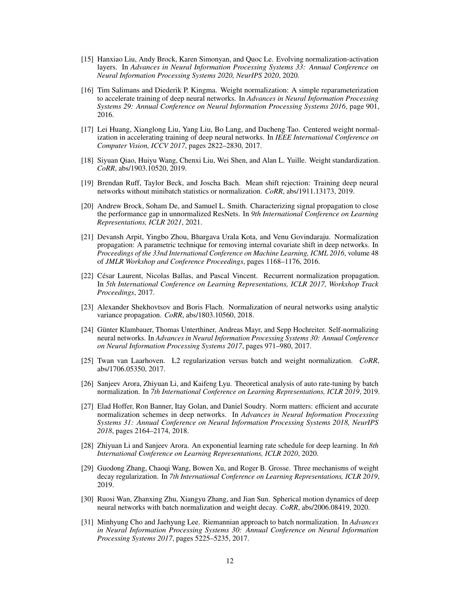- <span id="page-11-0"></span>[15] Hanxiao Liu, Andy Brock, Karen Simonyan, and Quoc Le. Evolving normalization-activation layers. In *Advances in Neural Information Processing Systems 33: Annual Conference on Neural Information Processing Systems 2020, NeurIPS 2020*, 2020.
- <span id="page-11-1"></span>[16] Tim Salimans and Diederik P. Kingma. Weight normalization: A simple reparameterization to accelerate training of deep neural networks. In *Advances in Neural Information Processing Systems 29: Annual Conference on Neural Information Processing Systems 2016*, page 901, 2016.
- <span id="page-11-2"></span>[17] Lei Huang, Xianglong Liu, Yang Liu, Bo Lang, and Dacheng Tao. Centered weight normalization in accelerating training of deep neural networks. In *IEEE International Conference on Computer Vision, ICCV 2017*, pages 2822–2830, 2017.
- <span id="page-11-3"></span>[18] Siyuan Qiao, Huiyu Wang, Chenxi Liu, Wei Shen, and Alan L. Yuille. Weight standardization. *CoRR*, abs/1903.10520, 2019.
- <span id="page-11-4"></span>[19] Brendan Ruff, Taylor Beck, and Joscha Bach. Mean shift rejection: Training deep neural networks without minibatch statistics or normalization. *CoRR*, abs/1911.13173, 2019.
- <span id="page-11-5"></span>[20] Andrew Brock, Soham De, and Samuel L. Smith. Characterizing signal propagation to close the performance gap in unnormalized ResNets. In *9th International Conference on Learning Representations, ICLR 2021*, 2021.
- <span id="page-11-6"></span>[21] Devansh Arpit, Yingbo Zhou, Bhargava Urala Kota, and Venu Govindaraju. Normalization propagation: A parametric technique for removing internal covariate shift in deep networks. In *Proceedings of the 33nd International Conference on Machine Learning, ICML 2016*, volume 48 of *JMLR Workshop and Conference Proceedings*, pages 1168–1176, 2016.
- <span id="page-11-7"></span>[22] César Laurent, Nicolas Ballas, and Pascal Vincent. Recurrent normalization propagation. In *5th International Conference on Learning Representations, ICLR 2017, Workshop Track Proceedings*, 2017.
- <span id="page-11-8"></span>[23] Alexander Shekhovtsov and Boris Flach. Normalization of neural networks using analytic variance propagation. *CoRR*, abs/1803.10560, 2018.
- <span id="page-11-9"></span>[24] Günter Klambauer, Thomas Unterthiner, Andreas Mayr, and Sepp Hochreiter. Self-normalizing neural networks. In *Advances in Neural Information Processing Systems 30: Annual Conference on Neural Information Processing Systems 2017*, pages 971–980, 2017.
- <span id="page-11-10"></span>[25] Twan van Laarhoven. L2 regularization versus batch and weight normalization. *CoRR*, abs/1706.05350, 2017.
- <span id="page-11-11"></span>[26] Sanjeev Arora, Zhiyuan Li, and Kaifeng Lyu. Theoretical analysis of auto rate-tuning by batch normalization. In *7th International Conference on Learning Representations, ICLR 2019*, 2019.
- <span id="page-11-12"></span>[27] Elad Hoffer, Ron Banner, Itay Golan, and Daniel Soudry. Norm matters: efficient and accurate normalization schemes in deep networks. In *Advances in Neural Information Processing Systems 31: Annual Conference on Neural Information Processing Systems 2018, NeurIPS 2018*, pages 2164–2174, 2018.
- <span id="page-11-13"></span>[28] Zhiyuan Li and Sanjeev Arora. An exponential learning rate schedule for deep learning. In *8th International Conference on Learning Representations, ICLR 2020*, 2020.
- <span id="page-11-14"></span>[29] Guodong Zhang, Chaoqi Wang, Bowen Xu, and Roger B. Grosse. Three mechanisms of weight decay regularization. In *7th International Conference on Learning Representations, ICLR 2019*, 2019.
- <span id="page-11-15"></span>[30] Ruosi Wan, Zhanxing Zhu, Xiangyu Zhang, and Jian Sun. Spherical motion dynamics of deep neural networks with batch normalization and weight decay. *CoRR*, abs/2006.08419, 2020.
- <span id="page-11-16"></span>[31] Minhyung Cho and Jaehyung Lee. Riemannian approach to batch normalization. In *Advances in Neural Information Processing Systems 30: Annual Conference on Neural Information Processing Systems 2017*, pages 5225–5235, 2017.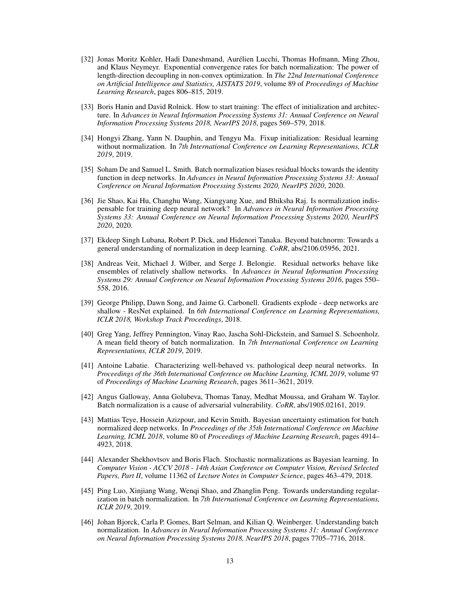- <span id="page-12-0"></span>[32] Jonas Moritz Kohler, Hadi Daneshmand, Aurélien Lucchi, Thomas Hofmann, Ming Zhou, and Klaus Neymeyr. Exponential convergence rates for batch normalization: The power of length-direction decoupling in non-convex optimization. In *The 22nd International Conference on Artificial Intelligence and Statistics, AISTATS 2019*, volume 89 of *Proceedings of Machine Learning Research*, pages 806–815, 2019.
- <span id="page-12-1"></span>[33] Boris Hanin and David Rolnick. How to start training: The effect of initialization and architecture. In *Advances in Neural Information Processing Systems 31: Annual Conference on Neural Information Processing Systems 2018, NeurIPS 2018*, pages 569–579, 2018.
- <span id="page-12-2"></span>[34] Hongyi Zhang, Yann N. Dauphin, and Tengyu Ma. Fixup initialization: Residual learning without normalization. In *7th International Conference on Learning Representations, ICLR 2019*, 2019.
- <span id="page-12-3"></span>[35] Soham De and Samuel L. Smith. Batch normalization biases residual blocks towards the identity function in deep networks. In *Advances in Neural Information Processing Systems 33: Annual Conference on Neural Information Processing Systems 2020, NeurIPS 2020*, 2020.
- <span id="page-12-4"></span>[36] Jie Shao, Kai Hu, Changhu Wang, Xiangyang Xue, and Bhiksha Raj. Is normalization indispensable for training deep neural network? In *Advances in Neural Information Processing Systems 33: Annual Conference on Neural Information Processing Systems 2020, NeurIPS 2020*, 2020.
- <span id="page-12-5"></span>[37] Ekdeep Singh Lubana, Robert P. Dick, and Hidenori Tanaka. Beyond batchnorm: Towards a general understanding of normalization in deep learning. *CoRR*, abs/2106.05956, 2021.
- <span id="page-12-6"></span>[38] Andreas Veit, Michael J. Wilber, and Serge J. Belongie. Residual networks behave like ensembles of relatively shallow networks. In *Advances in Neural Information Processing Systems 29: Annual Conference on Neural Information Processing Systems 2016*, pages 550– 558, 2016.
- <span id="page-12-7"></span>[39] George Philipp, Dawn Song, and Jaime G. Carbonell. Gradients explode - deep networks are shallow - ResNet explained. In *6th International Conference on Learning Representations, ICLR 2018, Workshop Track Proceedings*, 2018.
- <span id="page-12-8"></span>[40] Greg Yang, Jeffrey Pennington, Vinay Rao, Jascha Sohl-Dickstein, and Samuel S. Schoenholz. A mean field theory of batch normalization. In *7th International Conference on Learning Representations, ICLR 2019*, 2019.
- <span id="page-12-9"></span>[41] Antoine Labatie. Characterizing well-behaved vs. pathological deep neural networks. In *Proceedings of the 36th International Conference on Machine Learning, ICML 2019*, volume 97 of *Proceedings of Machine Learning Research*, pages 3611–3621, 2019.
- <span id="page-12-10"></span>[42] Angus Galloway, Anna Golubeva, Thomas Tanay, Medhat Moussa, and Graham W. Taylor. Batch normalization is a cause of adversarial vulnerability. *CoRR*, abs/1905.02161, 2019.
- <span id="page-12-11"></span>[43] Mattias Teye, Hossein Azizpour, and Kevin Smith. Bayesian uncertainty estimation for batch normalized deep networks. In *Proceedings of the 35th International Conference on Machine Learning, ICML 2018*, volume 80 of *Proceedings of Machine Learning Research*, pages 4914– 4923, 2018.
- <span id="page-12-12"></span>[44] Alexander Shekhovtsov and Boris Flach. Stochastic normalizations as Bayesian learning. In *Computer Vision - ACCV 2018 - 14th Asian Conference on Computer Vision, Revised Selected Papers, Part II*, volume 11362 of *Lecture Notes in Computer Science*, pages 463–479, 2018.
- <span id="page-12-13"></span>[45] Ping Luo, Xinjiang Wang, Wenqi Shao, and Zhanglin Peng. Towards understanding regularization in batch normalization. In *7th International Conference on Learning Representations, ICLR 2019*, 2019.
- <span id="page-12-14"></span>[46] Johan Bjorck, Carla P. Gomes, Bart Selman, and Kilian Q. Weinberger. Understanding batch normalization. In *Advances in Neural Information Processing Systems 31: Annual Conference on Neural Information Processing Systems 2018, NeurIPS 2018*, pages 7705–7716, 2018.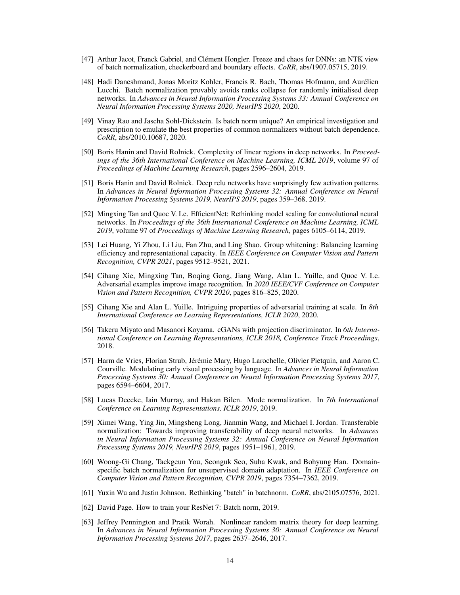- <span id="page-13-0"></span>[47] Arthur Jacot, Franck Gabriel, and Clément Hongler. Freeze and chaos for DNNs: an NTK view of batch normalization, checkerboard and boundary effects. *CoRR*, abs/1907.05715, 2019.
- <span id="page-13-1"></span>[48] Hadi Daneshmand, Jonas Moritz Kohler, Francis R. Bach, Thomas Hofmann, and Aurélien Lucchi. Batch normalization provably avoids ranks collapse for randomly initialised deep networks. In *Advances in Neural Information Processing Systems 33: Annual Conference on Neural Information Processing Systems 2020, NeurIPS 2020*, 2020.
- <span id="page-13-2"></span>[49] Vinay Rao and Jascha Sohl-Dickstein. Is batch norm unique? An empirical investigation and prescription to emulate the best properties of common normalizers without batch dependence. *CoRR*, abs/2010.10687, 2020.
- <span id="page-13-3"></span>[50] Boris Hanin and David Rolnick. Complexity of linear regions in deep networks. In *Proceedings of the 36th International Conference on Machine Learning, ICML 2019*, volume 97 of *Proceedings of Machine Learning Research*, pages 2596–2604, 2019.
- <span id="page-13-4"></span>[51] Boris Hanin and David Rolnick. Deep relu networks have surprisingly few activation patterns. In *Advances in Neural Information Processing Systems 32: Annual Conference on Neural Information Processing Systems 2019, NeurIPS 2019*, pages 359–368, 2019.
- <span id="page-13-6"></span>[52] Mingxing Tan and Quoc V. Le. EfficientNet: Rethinking model scaling for convolutional neural networks. In *Proceedings of the 36th International Conference on Machine Learning, ICML 2019*, volume 97 of *Proceedings of Machine Learning Research*, pages 6105–6114, 2019.
- <span id="page-13-5"></span>[53] Lei Huang, Yi Zhou, Li Liu, Fan Zhu, and Ling Shao. Group whitening: Balancing learning efficiency and representational capacity. In *IEEE Conference on Computer Vision and Pattern Recognition, CVPR 2021*, pages 9512–9521, 2021.
- <span id="page-13-7"></span>[54] Cihang Xie, Mingxing Tan, Boqing Gong, Jiang Wang, Alan L. Yuille, and Quoc V. Le. Adversarial examples improve image recognition. In *2020 IEEE/CVF Conference on Computer Vision and Pattern Recognition, CVPR 2020*, pages 816–825, 2020.
- <span id="page-13-8"></span>[55] Cihang Xie and Alan L. Yuille. Intriguing properties of adversarial training at scale. In *8th International Conference on Learning Representations, ICLR 2020*, 2020.
- <span id="page-13-9"></span>[56] Takeru Miyato and Masanori Koyama. cGANs with projection discriminator. In *6th International Conference on Learning Representations, ICLR 2018, Conference Track Proceedings*, 2018.
- <span id="page-13-10"></span>[57] Harm de Vries, Florian Strub, Jérémie Mary, Hugo Larochelle, Olivier Pietquin, and Aaron C. Courville. Modulating early visual processing by language. In *Advances in Neural Information Processing Systems 30: Annual Conference on Neural Information Processing Systems 2017*, pages 6594–6604, 2017.
- <span id="page-13-11"></span>[58] Lucas Deecke, Iain Murray, and Hakan Bilen. Mode normalization. In *7th International Conference on Learning Representations, ICLR 2019*, 2019.
- <span id="page-13-12"></span>[59] Ximei Wang, Ying Jin, Mingsheng Long, Jianmin Wang, and Michael I. Jordan. Transferable normalization: Towards improving transferability of deep neural networks. In *Advances in Neural Information Processing Systems 32: Annual Conference on Neural Information Processing Systems 2019, NeurIPS 2019*, pages 1951–1961, 2019.
- <span id="page-13-13"></span>[60] Woong-Gi Chang, Tackgeun You, Seonguk Seo, Suha Kwak, and Bohyung Han. Domainspecific batch normalization for unsupervised domain adaptation. In *IEEE Conference on Computer Vision and Pattern Recognition, CVPR 2019*, pages 7354–7362, 2019.
- <span id="page-13-14"></span>[61] Yuxin Wu and Justin Johnson. Rethinking "batch" in batchnorm. *CoRR*, abs/2105.07576, 2021.
- <span id="page-13-15"></span>[62] David Page. How to train your ResNet 7: Batch norm, 2019.
- <span id="page-13-16"></span>[63] Jeffrey Pennington and Pratik Worah. Nonlinear random matrix theory for deep learning. In *Advances in Neural Information Processing Systems 30: Annual Conference on Neural Information Processing Systems 2017*, pages 2637–2646, 2017.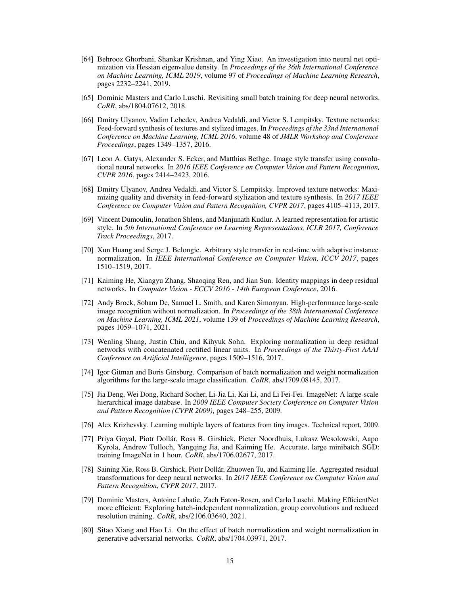- <span id="page-14-0"></span>[64] Behrooz Ghorbani, Shankar Krishnan, and Ying Xiao. An investigation into neural net optimization via Hessian eigenvalue density. In *Proceedings of the 36th International Conference on Machine Learning, ICML 2019*, volume 97 of *Proceedings of Machine Learning Research*, pages 2232–2241, 2019.
- <span id="page-14-1"></span>[65] Dominic Masters and Carlo Luschi. Revisiting small batch training for deep neural networks. *CoRR*, abs/1804.07612, 2018.
- <span id="page-14-2"></span>[66] Dmitry Ulyanov, Vadim Lebedev, Andrea Vedaldi, and Victor S. Lempitsky. Texture networks: Feed-forward synthesis of textures and stylized images. In *Proceedings of the 33nd International Conference on Machine Learning, ICML 2016*, volume 48 of *JMLR Workshop and Conference Proceedings*, pages 1349–1357, 2016.
- <span id="page-14-3"></span>[67] Leon A. Gatys, Alexander S. Ecker, and Matthias Bethge. Image style transfer using convolutional neural networks. In *2016 IEEE Conference on Computer Vision and Pattern Recognition, CVPR 2016*, pages 2414–2423, 2016.
- <span id="page-14-4"></span>[68] Dmitry Ulyanov, Andrea Vedaldi, and Victor S. Lempitsky. Improved texture networks: Maximizing quality and diversity in feed-forward stylization and texture synthesis. In *2017 IEEE Conference on Computer Vision and Pattern Recognition, CVPR 2017*, pages 4105–4113, 2017.
- <span id="page-14-5"></span>[69] Vincent Dumoulin, Jonathon Shlens, and Manjunath Kudlur. A learned representation for artistic style. In *5th International Conference on Learning Representations, ICLR 2017, Conference Track Proceedings*, 2017.
- <span id="page-14-6"></span>[70] Xun Huang and Serge J. Belongie. Arbitrary style transfer in real-time with adaptive instance normalization. In *IEEE International Conference on Computer Vision, ICCV 2017*, pages 1510–1519, 2017.
- <span id="page-14-7"></span>[71] Kaiming He, Xiangyu Zhang, Shaoqing Ren, and Jian Sun. Identity mappings in deep residual networks. In *Computer Vision - ECCV 2016 - 14th European Conference*, 2016.
- <span id="page-14-8"></span>[72] Andy Brock, Soham De, Samuel L. Smith, and Karen Simonyan. High-performance large-scale image recognition without normalization. In *Proceedings of the 38th International Conference on Machine Learning, ICML 2021*, volume 139 of *Proceedings of Machine Learning Research*, pages 1059–1071, 2021.
- <span id="page-14-9"></span>[73] Wenling Shang, Justin Chiu, and Kihyuk Sohn. Exploring normalization in deep residual networks with concatenated rectified linear units. In *Proceedings of the Thirty-First AAAI Conference on Artificial Intelligence*, pages 1509–1516, 2017.
- <span id="page-14-10"></span>[74] Igor Gitman and Boris Ginsburg. Comparison of batch normalization and weight normalization algorithms for the large-scale image classification. *CoRR*, abs/1709.08145, 2017.
- <span id="page-14-11"></span>[75] Jia Deng, Wei Dong, Richard Socher, Li-Jia Li, Kai Li, and Li Fei-Fei. ImageNet: A large-scale hierarchical image database. In *2009 IEEE Computer Society Conference on Computer Vision and Pattern Recognition (CVPR 2009)*, pages 248–255, 2009.
- <span id="page-14-12"></span>[76] Alex Krizhevsky. Learning multiple layers of features from tiny images. Technical report, 2009.
- <span id="page-14-13"></span>[77] Priya Goyal, Piotr Dollár, Ross B. Girshick, Pieter Noordhuis, Lukasz Wesolowski, Aapo Kyrola, Andrew Tulloch, Yangqing Jia, and Kaiming He. Accurate, large minibatch SGD: training ImageNet in 1 hour. *CoRR*, abs/1706.02677, 2017.
- <span id="page-14-14"></span>[78] Saining Xie, Ross B. Girshick, Piotr Dollár, Zhuowen Tu, and Kaiming He. Aggregated residual transformations for deep neural networks. In *2017 IEEE Conference on Computer Vision and Pattern Recognition, CVPR 2017*, 2017.
- <span id="page-14-15"></span>[79] Dominic Masters, Antoine Labatie, Zach Eaton-Rosen, and Carlo Luschi. Making EfficientNet more efficient: Exploring batch-independent normalization, group convolutions and reduced resolution training. *CoRR*, abs/2106.03640, 2021.
- <span id="page-14-16"></span>[80] Sitao Xiang and Hao Li. On the effect of batch normalization and weight normalization in generative adversarial networks. *CoRR*, abs/1704.03971, 2017.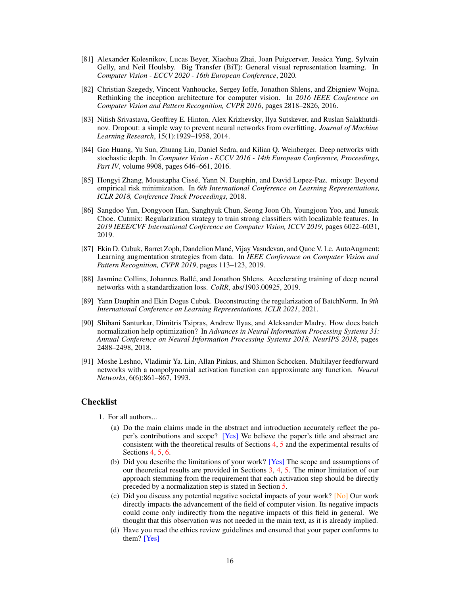- <span id="page-15-0"></span>[81] Alexander Kolesnikov, Lucas Beyer, Xiaohua Zhai, Joan Puigcerver, Jessica Yung, Sylvain Gelly, and Neil Houlsby. Big Transfer (BiT): General visual representation learning. In *Computer Vision - ECCV 2020 - 16th European Conference*, 2020.
- [82] Christian Szegedy, Vincent Vanhoucke, Sergey Ioffe, Jonathon Shlens, and Zbigniew Wojna. Rethinking the inception architecture for computer vision. In *2016 IEEE Conference on Computer Vision and Pattern Recognition, CVPR 2016*, pages 2818–2826, 2016.
- [83] Nitish Srivastava, Geoffrey E. Hinton, Alex Krizhevsky, Ilya Sutskever, and Ruslan Salakhutdinov. Dropout: a simple way to prevent neural networks from overfitting. *Journal of Machine Learning Research*, 15(1):1929–1958, 2014.
- [84] Gao Huang, Yu Sun, Zhuang Liu, Daniel Sedra, and Kilian Q. Weinberger. Deep networks with stochastic depth. In *Computer Vision - ECCV 2016 - 14th European Conference, Proceedings, Part IV*, volume 9908, pages 646–661, 2016.
- [85] Hongyi Zhang, Moustapha Cissé, Yann N. Dauphin, and David Lopez-Paz. mixup: Beyond empirical risk minimization. In *6th International Conference on Learning Representations, ICLR 2018, Conference Track Proceedings*, 2018.
- [86] Sangdoo Yun, Dongyoon Han, Sanghyuk Chun, Seong Joon Oh, Youngjoon Yoo, and Junsuk Choe. Cutmix: Regularization strategy to train strong classifiers with localizable features. In *2019 IEEE/CVF International Conference on Computer Vision, ICCV 2019*, pages 6022–6031, 2019.
- [87] Ekin D. Cubuk, Barret Zoph, Dandelion Mané, Vijay Vasudevan, and Quoc V. Le. AutoAugment: Learning augmentation strategies from data. In *IEEE Conference on Computer Vision and Pattern Recognition, CVPR 2019*, pages 113–123, 2019.
- [88] Jasmine Collins, Johannes Ballé, and Jonathon Shlens. Accelerating training of deep neural networks with a standardization loss. *CoRR*, abs/1903.00925, 2019.
- [89] Yann Dauphin and Ekin Dogus Cubuk. Deconstructing the regularization of BatchNorm. In *9th International Conference on Learning Representations, ICLR 2021*, 2021.
- [90] Shibani Santurkar, Dimitris Tsipras, Andrew Ilyas, and Aleksander Madry. How does batch normalization help optimization? In *Advances in Neural Information Processing Systems 31: Annual Conference on Neural Information Processing Systems 2018, NeurIPS 2018*, pages 2488–2498, 2018.
- [91] Moshe Leshno, Vladimir Ya. Lin, Allan Pinkus, and Shimon Schocken. Multilayer feedforward networks with a nonpolynomial activation function can approximate any function. *Neural Networks*, 6(6):861–867, 1993.

# Checklist

- 1. For all authors...
	- (a) Do the main claims made in the abstract and introduction accurately reflect the paper's contributions and scope? [Yes] We believe the paper's title and abstract are consistent with the theoretical results of Sections [4,](#page-4-0) [5](#page-7-0) and the experimental results of Sections [4,](#page-4-0) [5,](#page-7-0) [6.](#page-8-0)
	- (b) Did you describe the limitations of your work? [Yes] The scope and assumptions of our theoretical results are provided in Sections [3,](#page-2-5) [4,](#page-4-0) [5.](#page-7-0) The minor limitation of our approach stemming from the requirement that each activation step should be directly preceded by a normalization step is stated in Section [5.](#page-7-0)
	- (c) Did you discuss any potential negative societal impacts of your work? [No] Our work directly impacts the advancement of the field of computer vision. Its negative impacts could come only indirectly from the negative impacts of this field in general. We thought that this observation was not needed in the main text, as it is already implied.
	- (d) Have you read the ethics review guidelines and ensured that your paper conforms to them? [Yes]